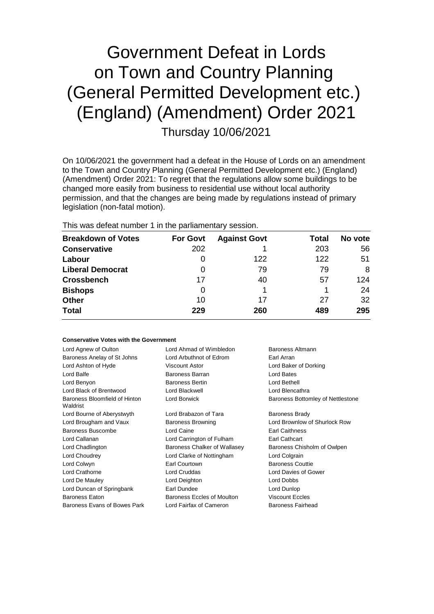## Government Defeat in Lords on Town and Country Planning (General Permitted Development etc.) (England) (Amendment) Order 2021 Thursday 10/06/2021

On 10/06/2021 the government had a defeat in the House of Lords on an amendment to the Town and Country Planning (General Permitted Development etc.) (England) (Amendment) Order 2021: To regret that the regulations allow some buildings to be changed more easily from business to residential use without local authority permission, and that the changes are being made by regulations instead of primary legislation (non-fatal motion).

This was defeat number 1 in the parliamentary session.

| <b>Breakdown of Votes</b> | <b>For Govt</b> | <b>Against Govt</b> | Total | No vote |
|---------------------------|-----------------|---------------------|-------|---------|
| <b>Conservative</b>       | 202             |                     | 203   | 56      |
| Labour                    | O               | 122                 | 122   | 51      |
| <b>Liberal Democrat</b>   | 0               | 79                  | 79    | 8       |
| <b>Crossbench</b>         | 17              | 40                  | 57    | 124     |
| <b>Bishops</b>            | 0               |                     |       | 24      |
| <b>Other</b>              | 10              | 17                  | 27    | 32      |
| <b>Total</b>              | 229             | 260                 | 489   | 295     |

## **Conservative Votes with the Government**

| Lord Agnew of Oulton                      | Lord Ahmad of Wimbledon                                   | Baroness Altmann                  |  |
|-------------------------------------------|-----------------------------------------------------------|-----------------------------------|--|
| Baroness Anelay of St Johns               | Lord Arbuthnot of Edrom<br>Earl Arran                     |                                   |  |
| Lord Ashton of Hyde                       | Viscount Astor<br>Lord Baker of Dorking                   |                                   |  |
| Lord Balfe                                | Baroness Barran<br>Lord Bates                             |                                   |  |
| Lord Benyon                               | <b>Baroness Bertin</b>                                    | Lord Bethell                      |  |
| Lord Black of Brentwood                   | Lord Blackwell                                            | Lord Blencathra                   |  |
| Baroness Bloomfield of Hinton<br>Waldrist | Lord Borwick                                              | Baroness Bottomley of Nettlestone |  |
| Lord Bourne of Aberystwyth                | Lord Brabazon of Tara                                     | <b>Baroness Brady</b>             |  |
| Lord Brougham and Vaux                    | Lord Brownlow of Shurlock Row<br><b>Baroness Browning</b> |                                   |  |
| Baroness Buscombe                         | Lord Caine<br><b>Earl Caithness</b>                       |                                   |  |
| Lord Callanan                             | <b>Earl Cathcart</b><br>Lord Carrington of Fulham         |                                   |  |
| Lord Chadlington                          | Baroness Chalker of Wallasey                              | Baroness Chisholm of Owlpen       |  |
| Lord Choudrey                             | Lord Clarke of Nottingham                                 | Lord Colgrain                     |  |
| Lord Colwyn                               | Earl Courtown                                             | <b>Baroness Couttie</b>           |  |
| Lord Crathorne                            | Lord Cruddas                                              | Lord Davies of Gower              |  |
| Lord De Mauley                            | Lord Deighton                                             | Lord Dobbs                        |  |
| Lord Duncan of Springbank                 | Earl Dundee<br>Lord Dunlop                                |                                   |  |
| Baroness Eaton                            | <b>Viscount Eccles</b><br>Baroness Eccles of Moulton      |                                   |  |
| Baroness Evans of Bowes Park              | Lord Fairfax of Cameron                                   | <b>Baroness Fairhead</b>          |  |
|                                           |                                                           |                                   |  |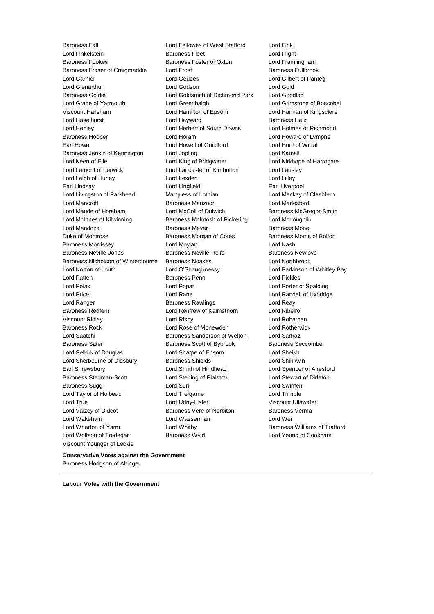Baroness Fall Lord Fellowes of West Stafford Lord Fink **Lord Finkelstein Constructed Exercise Servers Fleet Lord Flight Lord Flight** Baroness Fookes Baroness Foster of Oxton Lord Framlingham Baroness Fraser of Craigmaddie Lord Frost Baroness Fullbrook Lord Garnier Lord Geddes Lord Gilbert of Panteg Lord Glenarthur Lord Godson Lord Gold Baroness Goldie Lord Goldsmith of Richmond Park Lord Goodlad Lord Grade of Yarmouth Lord Greenhalgh Lord Grimstone of Boscobel Viscount Hailsham Lord Hamilton of Epsom Lord Hannan of Kingsclere Lord Haselhurst **Lord Hayward** Baroness Helic Lord Henley Lord Herbert of South Downs Lord Holmes of Richmond Baroness Hooper **Lord Horam Communist Lord Howard of Lympne** Earl Howe Lord Howell of Guildford Lord Hunt of Wirral Baroness Jenkin of Kennington Lord Jopling Lord Kamall Lord Kamall Lord Keen of Elie **Lord King of Bridgwater** Lord Kirkhope of Harrogate Lord Lamont of Lerwick Lord Lancaster of Kimbolton Lord Lansley Lord Leigh of Hurley **Lord Lord Lexden** Lord Lord Lord Lilley Earl Lindsay Lord Lingfield Earl Liverpool Lord Livingston of Parkhead Marquess of Lothian Cord Mackay of Clashfern Lord Mancroft Baroness Manzoor Lord Marlesford Lord Maude of Horsham Lord McColl of Dulwich Baroness McGregor-Smith Lord McInnes of Kilwinning **Baroness McIntosh of Pickering** Lord McLoughlin Lord Mendoza **Baroness Meyer** Baroness Meyer Baroness Mone Duke of Montrose **Baroness Morgan of Cotes** Baroness Morris of Bolton Baroness Morrissey Lord Moylan Lord Nash Baroness Neville-Jones **Baroness Neville-Rolfe** Baroness Newlove Baroness Nicholson of Winterbourne Baroness Noakes Lord Northbrook Lord Norton of Louth Lord O'Shaughnessy Lord Parkinson of Whitley Bay Lord Patten Baroness Penn Lord Pickles Lord Polak Lord Popat Lord Porter of Spalding Lord Price Lord Rana Lord Randall of Uxbridge Lord Ranger **Baroness Rawlings** Lord Reay Baroness Redfern Lord Renfrew of Kaimsthorn Lord Ribeiro Viscount Ridley Lord Risby Lord Robathan Baroness Rock Lord Rose of Monewden Lord Rotherwick Lord Saatchi Baroness Sanderson of Welton Lord Sarfraz Baroness Sater Baroness Scott of Bybrook Baroness Seccombe Lord Selkirk of Douglas Lord Sharpe of Epsom Lord Sheikh Lord Sherbourne of Didsbury **Baroness Shields Lord Shinkwin** Earl Shrewsbury Lord Smith of Hindhead Lord Spencer of Alresford Baroness Stedman-Scott Lord Sterling of Plaistow Lord Stewart of Dirleton Baroness Sugg **Lord Suri Lord Suri Lord Swinfen** Lord Taylor of Holbeach Lord Trefgarne Lord Trimble Lord True **Lord Udny-Lister** Viscount Ullswater Lord Vaizey of Didcot **Baroness Vere of Norbiton** Baroness Verma Lord Wakeham Lord Wasserman Lord Wei Lord Wharton of Yarm **Lord Whitby Communist Communist Communist Communist Communist Communist Communist Communist Communist Communist Communist Communist Communist Communist Communist Communist Communist Communist Commun** Lord Wolfson of Tredegar Baroness Wyld Lord Young of Cookham Viscount Younger of Leckie

**Conservative Votes against the Government** Baroness Hodgson of Abinger

**Labour Votes with the Government**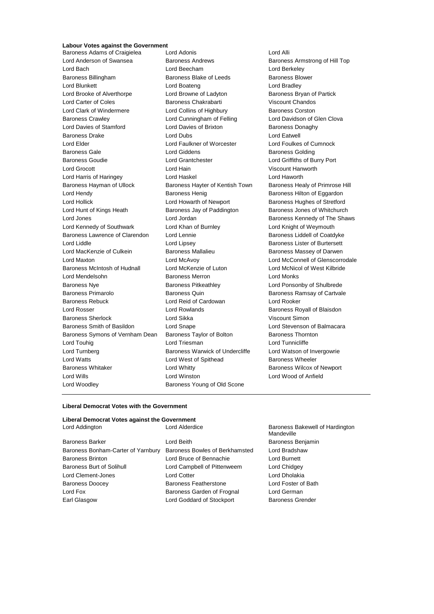## **Labour Votes against the Government**

Baroness Adams of Craigielea Lord Adonis Cord Alli Lord Anderson of Swansea Baroness Andrews Baroness Armstrong of Hill Top Lord Bach Lord Beecham Lord Berkeley Baroness Billingham Baroness Blake of Leeds Baroness Blower Lord Blunkett **Lord Boateng** Lord Bradley **Lord Bradley** Lord Brooke of Alverthorpe Lord Browne of Ladyton Baroness Bryan of Partick Lord Carter of Coles Baroness Chakrabarti Viscount Chandos Lord Clark of Windermere **Lord Collins of Highbury** Baroness Corston Baroness Crawley Lord Cunningham of Felling Lord Davidson of Glen Clova Lord Davies of Stamford **Lord Davies of Brixton** Baroness Donaghy Baroness Drake Lord Dubs Lord Eatwell Lord Elder Lord Faulkner of Worcester Lord Foulkes of Cumnock Baroness Gale **Baroness Golding** Lord Giddens **Baroness Golding** Baroness Goudie Lord Grantchester Lord Griffiths of Burry Port Lord Grocott Lord Hain Viscount Hanworth Lord Harris of Haringey Lord Haskel Lord Haworth Baroness Hayman of Ullock Baroness Hayter of Kentish Town Baroness Healy of Primrose Hill Lord Hendy **Baroness Henig** Baroness Henig Baroness Hilton of Eggardon Lord Hollick **Lord Howarth of Newport** Baroness Hughes of Stretford Lord Hunt of Kings Heath Baroness Jay of Paddington Baroness Jones of Whitchurch Lord Jones **Lord Jordan Baroness Kennedy of The Shaws** Baroness Kennedy of The Shaws Lord Kennedy of Southwark Lord Khan of Burnley Lord Knight of Weymouth Baroness Lawrence of Clarendon Lord Lennie **Baroness Liddell of Coatdyke** Lord Liddle **Lord Lipsey** Lord Lipsey **Baroness Lister of Burtersett** Lord MacKenzie of Culkein **Baroness Mallalieu** Baroness Massey of Darwen Lord Maxton Lord McAvoy Lord McConnell of Glenscorrodale Baroness McIntosh of Hudnall Lord McKenzie of Luton Lord McNicol of West Kilbride Lord Mendelsohn **Baroness Merron** Baroness Merron Lord Monks Baroness Nye Baroness Pitkeathley Lord Ponsonby of Shulbrede Baroness Primarolo **Baroness Quin** Baroness Quin Baroness Ramsay of Cartvale Baroness Rebuck Lord Reid of Cardowan Lord Rooker Lord Rosser Lord Rowlands Baroness Royall of Blaisdon Baroness Sherlock Lord Sikka Viscount Simon Baroness Smith of Basildon Lord Snape Lord Stevenson of Balmacara Baroness Symons of Vernham Dean Baroness Taylor of Bolton Baroness Thornton Lord Touhig **Lord Triesman** Lord Triesman **Lord Tunnicliffe** Lord Turnberg **Baroness Warwick of Undercliffe** Lord Watson of Invergowrie Lord Watts **Lord West of Spithead** Baroness Wheeler Baroness Whitaker **Lord Whitty Baroness Wilcox of Newport Baroness Wilcox of Newport** Lord Wills Lord Winston Lord Wood of Anfield Lord Woodley **Baroness Young of Old Scone** 

## **Liberal Democrat Votes with the Government**

| Liberal Democrat Votes against the Government |                                                 |                                               |
|-----------------------------------------------|-------------------------------------------------|-----------------------------------------------|
| Lord Addington                                | Lord Alderdice                                  | Baroness Bakewell of Hardington<br>Mandeville |
| <b>Baroness Barker</b>                        | Lord Beith<br>Baroness Benjamin                 |                                               |
| Baroness Bonham-Carter of Yarnbury            | Lord Bradshaw<br>Baroness Bowles of Berkhamsted |                                               |
| <b>Baroness Brinton</b>                       | Lord Bruce of Bennachie                         | Lord Burnett                                  |
| <b>Baroness Burt of Solihull</b>              | Lord Campbell of Pittenweem                     | Lord Chidgey                                  |
| Lord Clement-Jones                            | <b>Lord Cotter</b>                              | Lord Dholakia                                 |
| <b>Baroness Doocey</b>                        | Baroness Featherstone                           | Lord Foster of Bath                           |
| Lord Fox                                      | Baroness Garden of Frognal                      | Lord German                                   |
| Earl Glasgow                                  | Lord Goddard of Stockport                       | <b>Baroness Grender</b>                       |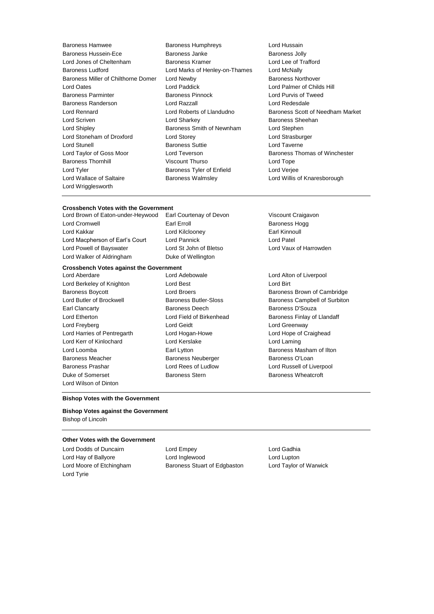- Baroness Hamwee Baroness Humphreys Lord Hussain Baroness Hussein-Ece **Baroness Janke** Baroness Jolly Lord Jones of Cheltenham Baroness Kramer Lord Lee of Trafford Baroness Ludford Lord Marks of Henley-on-Thames Lord McNally Baroness Miller of Chilthorne Domer Lord Newby **Baroness Northover** Baroness Northover Lord Oates Lord Paddick Lord Palmer of Childs Hill Baroness Parminter **Baroness Parminter** Baroness Pinnock **Lord Purvis of Tweed** Baroness Randerson Lord Razzall Lord Redesdale Lord Rennard Lord Roberts of Llandudno Baroness Scott of Needham Market Lord Scriven **Lord Sharkey Lord Sharkey Baroness Sheehan** Lord Shipley **Baroness Smith of Newnham** Lord Stephen Lord Stoneham of Droxford Lord Storey Lord Strasburger Lord Stunell **Baroness Suttie Lord Taverne** Lord Taylor of Goss Moor **Lord Teverson** Baroness Thomas of Winchester Baroness Thornhill **Example 2** Viscount Thurso **Lord Tope** Lord Tope Lord Tyler **Baroness Tyler of Enfield** Lord Verjee Lord Wallace of Saltaire **Baroness Walmsley Communist Conduct And Millis of Knaresborough** Lord Wrigglesworth
	-
- 

### **Crossbench Votes with the Government** Lord Brown of Eaton-under-Heywood Earl Courtenay of Devon Viscount Craigavon

| LOID DIOWN OF ESTON-RIGH-HEYWO  |
|---------------------------------|
| Lord Cromwell                   |
| Lord Kakkar                     |
| Lord Macpherson of Earl's Court |
| Lord Powell of Bayswater        |
| Lord Walker of Aldringham       |

Earl Erroll **Earl Erroll** Baroness Hogg Lord Kilclooney **Earl Kinnoull** Lord Pannick **Lord Patel** Duke of Wellington

## **Crossbench Votes against the Government**

Lord Berkeley of Knighton **Lord Best** Lord Best Lord Birt Earl Clancarty Baroness Deech Baroness D'Souza Lord Etherton **Lord Field of Birkenhead** Baroness Finlay of Llandaff Lord Freyberg Lord Geidt Lord Greenway Lord Harries of Pentregarth Lord Hogan-Howe Lord Hope of Craighead Lord Kerr of Kinlochard Lord Kerslake Lord Laming Lord Loomba Earl Lytton Baroness Masham of Ilton Baroness Meacher **Baroness Neuberger** Baroness O'Loan Baroness Prashar Lord Rees of Ludlow Lord Russell of Liverpool Duke of Somerset **Baroness Stern** Baroness Stern Baroness Wheatcroft Lord Wilson of Dinton

Lord Aberdare Lord Adebowale Lord Alton of Liverpool

# Lord St John of Bletso Lord Vaux of Harrowden

Baroness Boycott **Example 2** Lord Broers **Baroness Brown of Cambridge** Lord Butler of Brockwell Baroness Butler-Sloss Baroness Campbell of Surbiton

## **Bishop Votes with the Government**

**Bishop Votes against the Government** Bishop of Lincoln

## **Other Votes with the Government**

Lord Tyrie

Lord Dodds of Duncairn Lord Empey Lord Gadhia Lord Hay of Ballyore **Lord Inglewood** Lord Lupton Lord Moore of Etchingham Baroness Stuart of Edgbaston Lord Taylor of Warwick